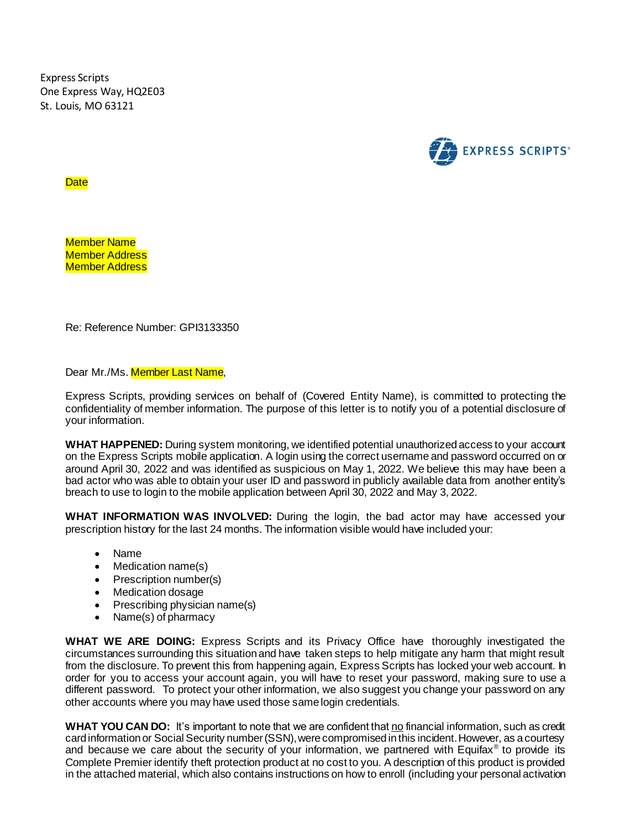Express Scripts One Express Way, HQ2E03 St. Louis, MO 63121



**Date** 

Member Name Member Address Member Address

Re: Reference Number: GPI3133350

Dear Mr./Ms. **Member Last Name**,

Express Scripts, providing services on behalf of (Covered Entity Name), is committed to protecting the confidentiality of member information. The purpose of this letter is to notify you of a potential disclosure of your information.

**WHAT HAPPENED:** During system monitoring, we identified potential unauthorized access to your account on the Express Scripts mobile application. A login using the correct username and password occurred on or around April 30, 2022 and was identified as suspicious on May 1, 2022. We believe this may have been a bad actor who was able to obtain your user ID and password in publicly available data from another entity's breach to use to login to the mobile application between April 30, 2022 and May 3, 2022.

**WHAT INFORMATION WAS INVOLVED:** During the login, the bad actor may have accessed your prescription history for the last 24 months. The information visible would have included your:

- Name
- Medication name(s)
- Prescription number(s)
- Medication dosage
- Prescribing physician name(s)
- Name(s) of pharmacy

**WHAT WE ARE DOING:** Express Scripts and its Privacy Office have thoroughly investigated the circumstances surrounding this situation and have taken steps to help mitigate any harm that might result from the disclosure. To prevent this from happening again, Express Scripts has locked your web account. In order for you to access your account again, you will have to reset your password, making sure to use a different password. To protect your other information, we also suggest you change your password on any other accounts where you may have used those same login credentials.

**WHAT YOU CAN DO:** It's important to note that we are confident that no financial information, such as credit card information or Social Security number (SSN), were compromised in this incident. However, as a courtesy and because we care about the security of your information, we partnered with Equifax<sup>®</sup> to provide its Complete Premier identify theft protection product at no cost to you. A description of this product is provided in the attached material, which also contains instructions on how to enroll (including your personal activation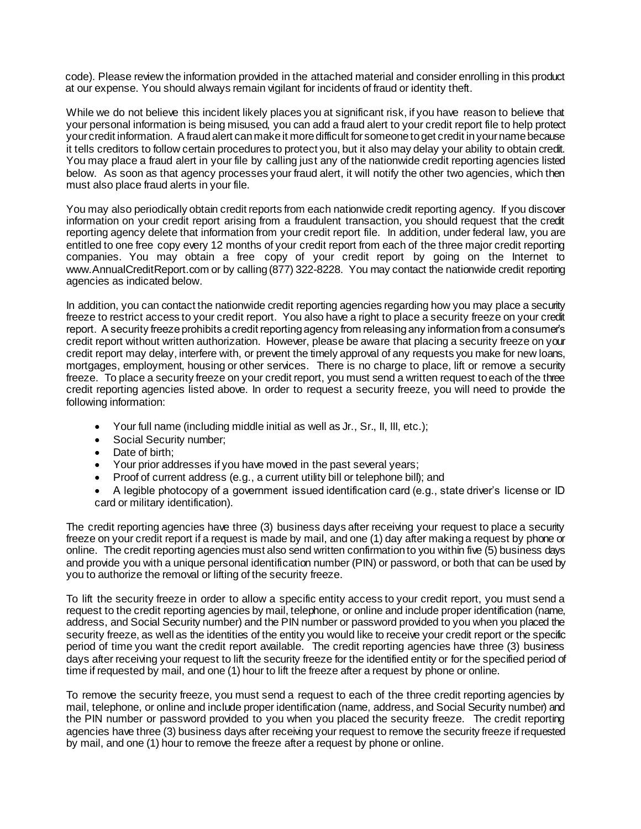code). Please review the information provided in the attached material and consider enrolling in this product at our expense. You should always remain vigilant for incidents of fraud or identity theft.

While we do not believe this incident likely places you at significant risk, if you have reason to believe that your personal information is being misused, you can add a fraud alert to your credit report file to help protect your credit information. A fraud alert can make it more difficult for someone to get credit in your name because it tells creditors to follow certain procedures to protect you, but it also may delay your ability to obtain credit. You may place a fraud alert in your file by calling just any of the nationwide credit reporting agencies listed below. As soon as that agency processes your fraud alert, it will notify the other two agencies, which then must also place fraud alerts in your file.

You may also periodically obtain credit reports from each nationwide credit reporting agency. If you discover information on your credit report arising from a fraudulent transaction, you should request that the credit reporting agency delete that information from your credit report file. In addition, under federal law, you are entitled to one free copy every 12 months of your credit report from each of the three major credit reporting companies. You may obtain a free copy of your credit report by going on the Internet to www.AnnualCreditReport.com or by calling (877) 322-8228. You may contact the nationwide credit reporting agencies as indicated below.

In addition, you can contact the nationwide credit reporting agencies regarding how you may place a security freeze to restrict access to your credit report. You also have a right to place a security freeze on your credit report. A security freeze prohibits a credit reporting agency from releasing any information from a consumer's credit report without written authorization. However, please be aware that placing a security freeze on your credit report may delay, interfere with, or prevent the timely approval of any requests you make for new loans, mortgages, employment, housing or other services. There is no charge to place, lift or remove a security freeze. To place a security freeze on your credit report, you must send a written request to each of the three credit reporting agencies listed above. In order to request a security freeze, you will need to provide the following information:

- Your full name (including middle initial as well as Jr., Sr., II, III, etc.);
- Social Security number:
- Date of birth:
- Your prior addresses if you have moved in the past several years;
- Proof of current address (e.g., a current utility bill or telephone bill); and

 A legible photocopy of a government issued identification card (e.g., state driver's license or ID card or military identification).

The credit reporting agencies have three (3) business days after receiving your request to place a security freeze on your credit report if a request is made by mail, and one (1) day after making a request by phone or online. The credit reporting agencies must also send written confirmation to you within five (5) business days and provide you with a unique personal identification number (PIN) or password, or both that can be used by you to authorize the removal or lifting of the security freeze.

To lift the security freeze in order to allow a specific entity access to your credit report, you must send a request to the credit reporting agencies by mail, telephone, or online and include proper identification (name, address, and Social Security number) and the PIN number or password provided to you when you placed the security freeze, as well as the identities of the entity you would like to receive your credit report or the specific period of time you want the credit report available. The credit reporting agencies have three (3) business days after receiving your request to lift the security freeze for the identified entity or for the specified period of time if requested by mail, and one (1) hour to lift the freeze after a request by phone or online.

To remove the security freeze, you must send a request to each of the three credit reporting agencies by mail, telephone, or online and include proper identification (name, address, and Social Security number) and the PIN number or password provided to you when you placed the security freeze. The credit reporting agencies have three (3) business days after receiving your request to remove the security freeze if requested by mail, and one (1) hour to remove the freeze after a request by phone or online.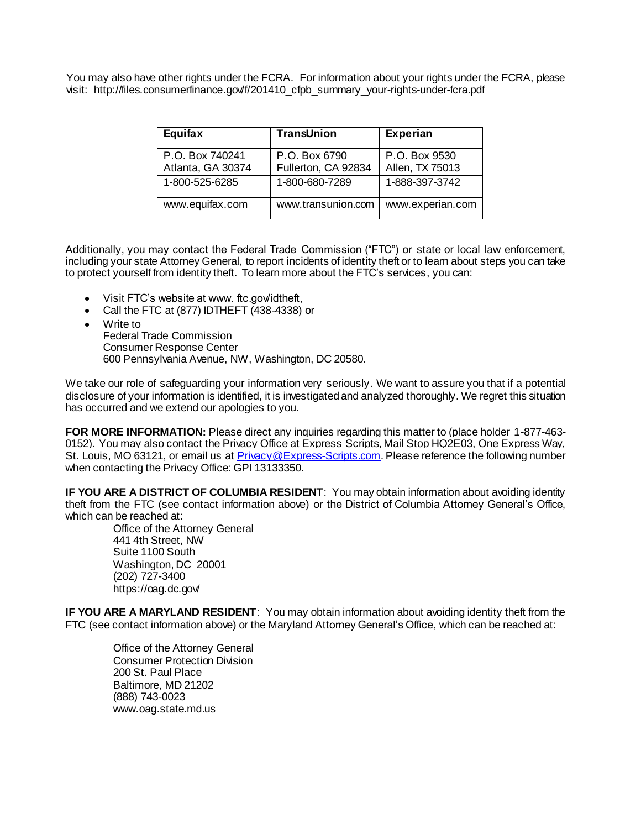You may also have other rights under the FCRA. For information about your rights under the FCRA, please visit: http://files.consumerfinance.gov/f/201410\_cfpb\_summary\_your-rights-under-fcra.pdf

| Equifax           | TransUnion          | <b>Experian</b>  |
|-------------------|---------------------|------------------|
| P.O. Box 740241   | P.O. Box 6790       | P.O. Box 9530    |
| Atlanta, GA 30374 | Fullerton, CA 92834 | Allen, TX 75013  |
| 1-800-525-6285    | 1-800-680-7289      | 1-888-397-3742   |
| www.equifax.com   | www.transunion.com  | www.experian.com |

Additionally, you may contact the Federal Trade Commission ("FTC") or state or local law enforcement, including your state Attorney General, to report incidents of identity theft or to learn about steps you can take to protect yourself from identity theft. To learn more about the FTC's services, you can:

- Visit FTC's website at www. ftc.gov/idtheft,
- Call the FTC at (877) IDTHEFT (438-4338) or
- Write to

Federal Trade Commission Consumer Response Center 600 Pennsylvania Avenue, NW, Washington, DC 20580.

We take our role of safeguarding your information very seriously. We want to assure you that if a potential disclosure of your information is identified, it is investigated and analyzed thoroughly. We regret this situation has occurred and we extend our apologies to you.

FOR MORE INFORMATION: Please direct any inquiries regarding this matter to (place holder 1-877-463-0152). You may also contact the Privacy Office at Express Scripts, Mail Stop HQ2E03, One Express Way, St. Louis, MO 63121, or email us at [Privacy@Express-Scripts.com](mailto:Privacy@Express-Scripts.com). Please reference the following number when contacting the Privacy Office: GPI 13133350.

**IF YOU ARE A DISTRICT OF COLUMBIA RESIDENT**: You may obtain information about avoiding identity theft from the FTC (see contact information above) or the District of Columbia Attorney General's Office, which can be reached at:

Office of the Attorney General 441 4th Street, NW Suite 1100 South Washington, DC 20001 (202) 727-3400 https://oag.dc.gov/

**IF YOU ARE A MARYLAND RESIDENT**: You may obtain information about avoiding identity theft from the FTC (see contact information above) or the Maryland Attorney General's Office, which can be reached at:

Office of the Attorney General Consumer Protection Division 200 St. Paul Place Baltimore, MD 21202 (888) 743-0023 www.oag.state.md.us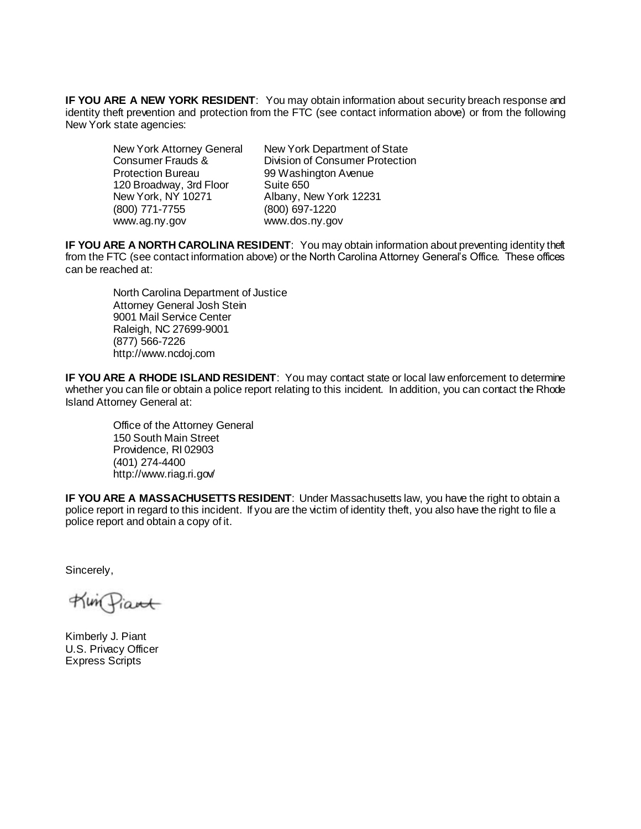**IF YOU ARE A NEW YORK RESIDENT**: You may obtain information about security breach response and identity theft prevention and protection from the FTC (see contact information above) or from the following New York state agencies:

 Protection Bureau 99 Washington Avenue 120 Broadway, 3rd Floor Suite 650 New York, NY 10271 Albany, New York 12231 (800) 771-7755 (800) 697-1220 www.ag.ny.gov www.dos.ny.gov

New York Attorney General New York Department of State Consumer Frauds & Division of Consumer Protection

**IF YOU ARE A NORTH CAROLINA RESIDENT**: You may obtain information about preventing identity theft from the FTC (see contact information above) or the North Carolina Attorney General's Office. These offices can be reached at:

North Carolina Department of Justice Attorney General Josh Stein 9001 Mail Service Center Raleigh, NC 27699-9001 (877) 566-7226 http://www.ncdoj.com

**IF YOU ARE A RHODE ISLAND RESIDENT**: You may contact state or local law enforcement to determine whether you can file or obtain a police report relating to this incident. In addition, you can contact the Rhode Island Attorney General at:

Office of the Attorney General 150 South Main Street Providence, RI 02903 (401) 274-4400 http://www.riag.ri.gov/

**IF YOU ARE A MASSACHUSETTS RESIDENT**: Under Massachusetts law, you have the right to obtain a police report in regard to this incident. If you are the victim of identity theft, you also have the right to file a police report and obtain a copy of it.

Sincerely,

Kin Piant

Kimberly J. Piant U.S. Privacy Officer Express Scripts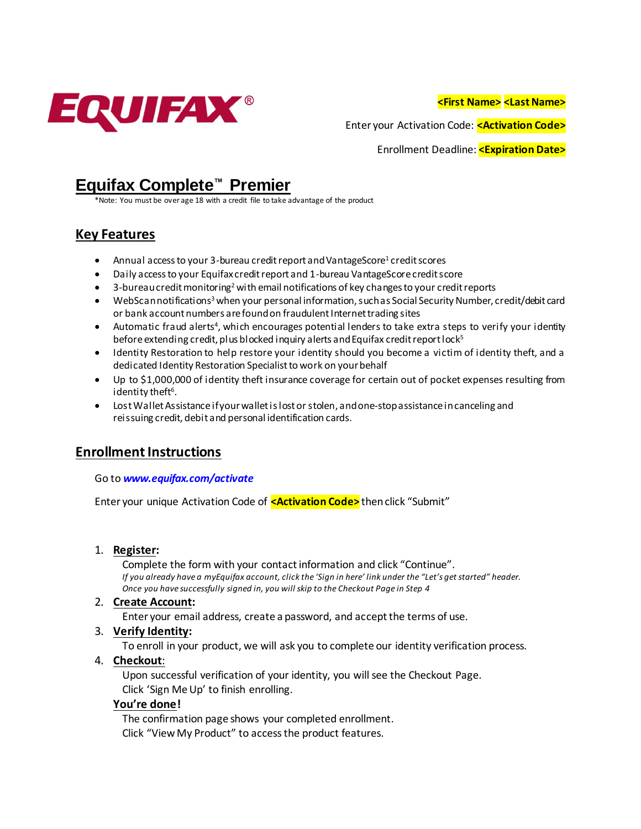

**<First Name> <Last Name>**

Enter your Activation Code: **<Activation Code>**

Enrollment Deadline: **<Expiration Date>**

# **Equifax Complete™ Premier**

Note: You must be over age 18 with a credit file to take advantage of the product

## **Key Features**

- Annual access to your 3-bureau credit report and VantageScore<sup>1</sup> credit scores
- Daily access to your Equifax credit report and 1-bureau VantageScore credit score
- $\bullet$  3-bureau credit monitoring<sup>2</sup> with email notifications of key changes to your credit reports
- WebScan notifications<sup>3</sup> when your personal information, such as Social Security Number, credit/debit card or bank account numbers are found on fraudulent Internet trading sites
- Automatic fraud alerts<sup>4</sup>, which encourages potential lenders to take extra steps to verify your identity before extending credit, plus blocked inquiry alerts and Equifax credit report lock<sup>5</sup>
- Identity Restoration to help restore your identity should you become a victim of identity theft, and a dedicated Identity Restoration Specialist to work on your behalf
- Up to \$1,000,000 of identity theft insurance coverage for certain out of pocket expenses resulting from identity theft<sup>6</sup>.
- Lost Wallet Assistance if your wallet is lost or stolen, and one-stop assistance in canceling and reissuing credit, debit and personal identification cards.

### **Enrollment Instructions**

#### Go to *www.equifax.com/activate*

Enter your unique Activation Code of **<Activation Code>** then click "Submit"

#### 1. **Register:**

Complete the form with your contact information and click "Continue". *If you already have a myEquifax account, click the 'Sign in here' link under the "Let's get started" header. Once you have successfully signed in, you will skip to the Checkout Page in Step 4*

#### 2. **Create Account:**

Enter your email address, create a password, and accept the terms of use.

#### 3. **Verify Identity:**

To enroll in your product, we will ask you to complete our identity verification process.

#### 4. **Checkout**:

Upon successful verification of your identity, you will see the Checkout Page. Click 'Sign Me Up' to finish enrolling.

#### **You're done!**

The confirmation page shows your completed enrollment. Click "View My Product" to access the product features.